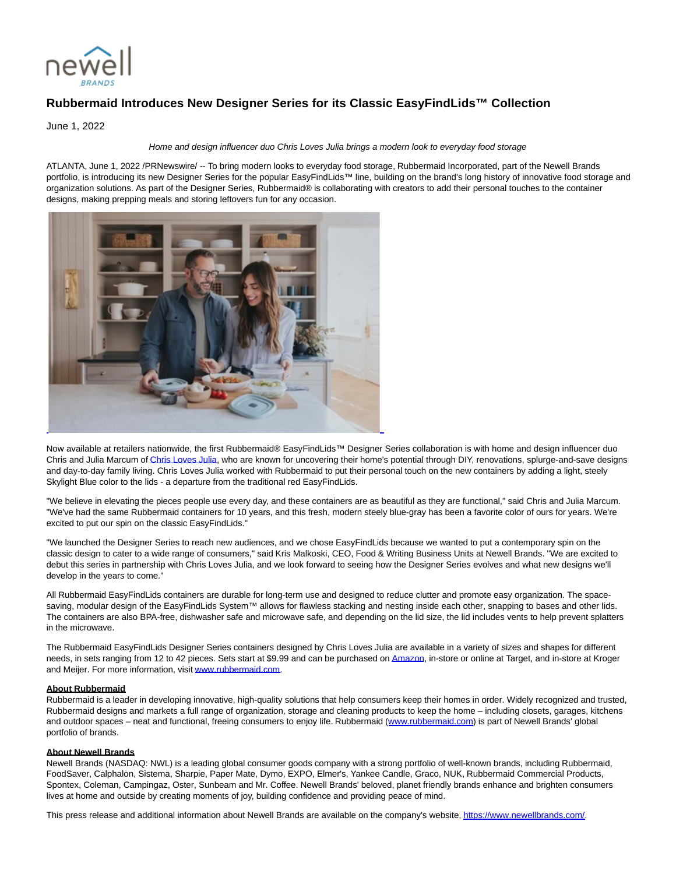

## **Rubbermaid Introduces New Designer Series for its Classic EasyFindLids™ Collection**

June 1, 2022

## Home and design influencer duo Chris Loves Julia brings a modern look to everyday food storage

ATLANTA, June 1, 2022 /PRNewswire/ -- To bring modern looks to everyday food storage, Rubbermaid Incorporated, part of the Newell Brands portfolio, is introducing its new Designer Series for the popular EasyFindLids™ line, building on the brand's long history of innovative food storage and organization solutions. As part of the Designer Series, Rubbermaid® is collaborating with creators to add their personal touches to the container designs, making prepping meals and storing leftovers fun for any occasion.



Now available at retailers nationwide, the first Rubbermaid® EasyFindLids™ Designer Series collaboration is with home and design influencer duo Chris and Julia Marcum o[f Chris Loves Julia,](https://c212.net/c/link/?t=0&l=en&o=3553284-1&h=4070690056&u=https%3A%2F%2Fwww.instagram.com%2Fchrislovesjulia%2F&a=Chris+Loves+Julia) who are known for uncovering their home's potential through DIY, renovations, splurge-and-save designs and day-to-day family living. Chris Loves Julia worked with Rubbermaid to put their personal touch on the new containers by adding a light, steely Skylight Blue color to the lids - a departure from the traditional red EasyFindLids.

"We believe in elevating the pieces people use every day, and these containers are as beautiful as they are functional," said Chris and Julia Marcum. "We've had the same Rubbermaid containers for 10 years, and this fresh, modern steely blue-gray has been a favorite color of ours for years. We're excited to put our spin on the classic EasyFindLids."

"We launched the Designer Series to reach new audiences, and we chose EasyFindLids because we wanted to put a contemporary spin on the classic design to cater to a wide range of consumers," said Kris Malkoski, CEO, Food & Writing Business Units at Newell Brands. "We are excited to debut this series in partnership with Chris Loves Julia, and we look forward to seeing how the Designer Series evolves and what new designs we'll develop in the years to come."

All Rubbermaid EasyFindLids containers are durable for long-term use and designed to reduce clutter and promote easy organization. The spacesaving, modular design of the EasyFindLids System™ allows for flawless stacking and nesting inside each other, snapping to bases and other lids. The containers are also BPA-free, dishwasher safe and microwave safe, and depending on the lid size, the lid includes vents to help prevent splatters in the microwave.

The Rubbermaid EasyFindLids Designer Series containers designed by Chris Loves Julia are available in a variety of sizes and shapes for different needs, in sets ranging from 12 to 42 pieces. Sets start at \$9.99 and can be purchased o[n Amazon,](https://c212.net/c/link/?t=0&l=en&o=3553284-1&h=2839216935&u=https%3A%2F%2Fwww.amazon.com%2FRubbermaid-EasyFindLids-Containers-Special-Skylight%2Fdp%2FB09WX7NH18%3Fref_%3Dast_sto_dp%26th%3D1%26psc%3D1&a=Amazon) in-store or online at Target, and in-store at Kroger and Meijer. For more information, visit [www.rubbermaid.com.](https://c212.net/c/link/?t=0&l=en&o=3553284-1&h=1110431180&u=http%3A%2F%2Fwww.rubbermaid.com%2F&a=www.rubbermaid.com)

## **About Rubbermaid**

Rubbermaid is a leader in developing innovative, high-quality solutions that help consumers keep their homes in order. Widely recognized and trusted, Rubbermaid designs and markets a full range of organization, storage and cleaning products to keep the home – including closets, garages, kitchens and outdoor spaces – neat and functional, freeing consumers to enjoy life. Rubbermaid [\(www.rubbermaid.com\)](https://c212.net/c/link/?t=0&l=en&o=3553284-1&h=1110431180&u=http%3A%2F%2Fwww.rubbermaid.com%2F&a=www.rubbermaid.com) is part of Newell Brands' global portfolio of brands.

## **About Newell Brands**

Newell Brands (NASDAQ: NWL) is a leading global consumer goods company with a strong portfolio of well-known brands, including Rubbermaid, FoodSaver, Calphalon, Sistema, Sharpie, Paper Mate, Dymo, EXPO, Elmer's, Yankee Candle, Graco, NUK, Rubbermaid Commercial Products, Spontex, Coleman, Campingaz, Oster, Sunbeam and Mr. Coffee. Newell Brands' beloved, planet friendly brands enhance and brighten consumers lives at home and outside by creating moments of joy, building confidence and providing peace of mind.

This press release and additional information about Newell Brands are available on the company's website, [https://www.newellbrands.com/.](https://c212.net/c/link/?t=0&l=en&o=3553284-1&h=4227481505&u=https%3A%2F%2Fwww.newellbrands.com%2F&a=https%3A%2F%2Fwww.newellbrands.com%2F)